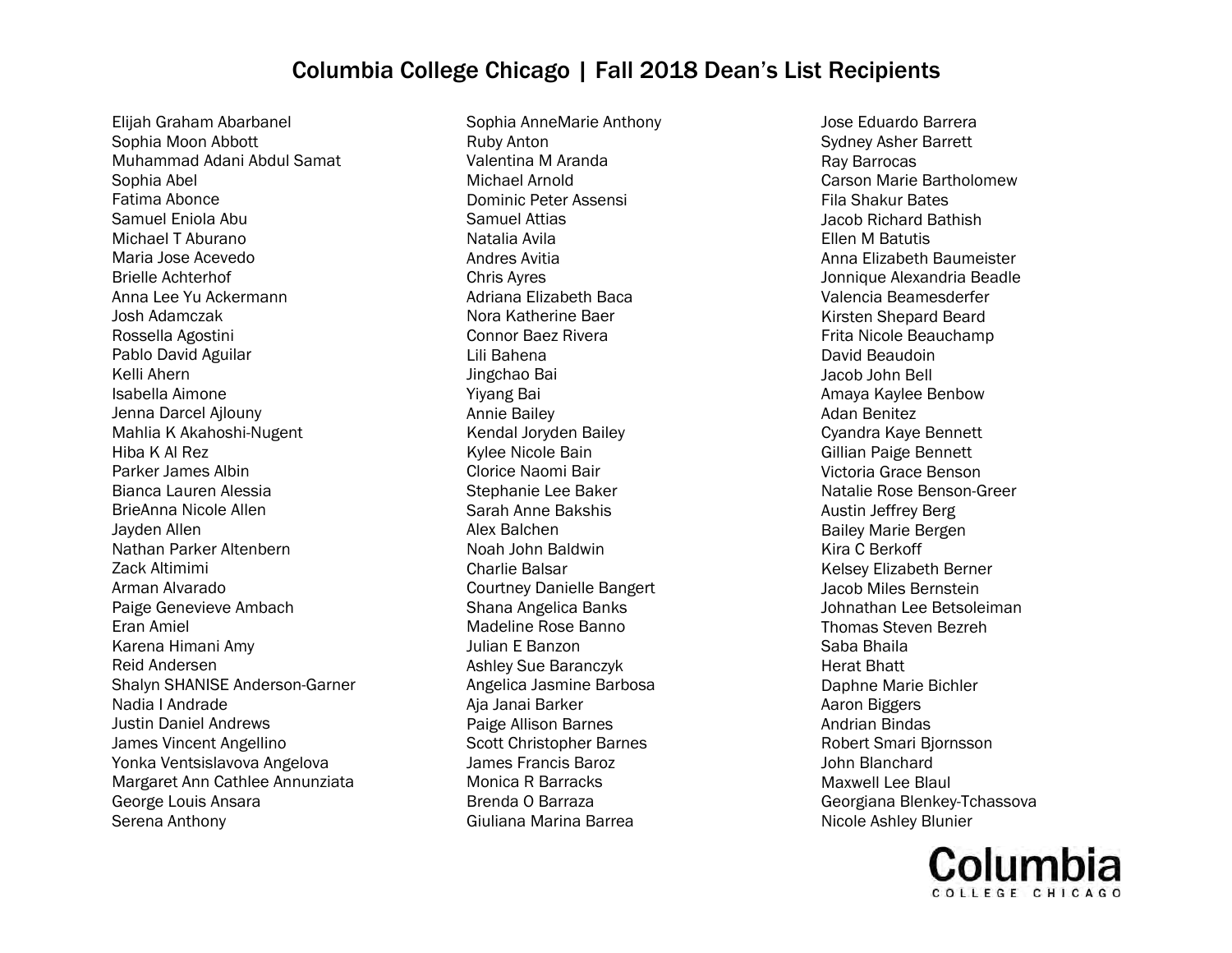Elijah Graham Abarbanel Sophia Moon Abbott Muhammad Adani Abdul Samat Sophia Abel Fatima Abonce Samuel Eniola Abu Michael T Aburano Maria Jose Acevedo Brielle Achterhof Anna Lee Yu Ackermann Josh Adamczak Rossella Agostini Pablo David Aguilar Kelli Ahern Isabella Aimone Jenna Darcel Ajlouny Mahlia K Akahoshi-Nugent Hiba K Al Rez Parker James Albin Bianca Lauren Alessia BrieAnna Nicole Allen Jayden Allen Nathan Parker Altenbern Zack Altimimi Arman Alvarado Paige Genevieve Ambach Eran Amiel Karena Himani Amy Reid Andersen Shalyn SHANISE Anderson-Garner Nadia I Andrade Justin Daniel Andrews James Vincent Angellino Yonka Ventsislavova Angelova Margaret Ann Cathlee Annunziata George Louis Ansara Serena Anthony

Sophia AnneMarie Anthony Ruby Anton Valentina M Aranda Michael Arnold Dominic Peter Assensi Samuel Attias Natalia Avila Andres Avitia Chris Ayres Adriana Elizabeth Baca Nora Katherine Baer Connor Baez Rivera Lili Bahena Jingchao Bai Yiyang Bai Annie Bailey Kendal Joryden Bailey Kylee Nicole Bain Clorice Naomi Bair Stephanie Lee Baker Sarah Anne Bakshis Alex Balchen Noah John Baldwin Charlie Balsar Courtney Danielle Bangert Shana Angelica Banks Madeline Rose Banno Julian E Banzon Ashley Sue Baranczyk Angelica Jasmine Barbosa Aja Janai Barker Paige Allison Barnes Scott Christopher Barnes James Francis Baroz Monica R Barracks Brenda O Barraza Giuliana Marina Barrea

Jose Eduardo Barrera Sydney Asher Barrett Ray Barrocas Carson Marie Bartholomew Fila Shakur Bates Jacob Richard Bathish Ellen M Batutis Anna Elizabeth Baumeister Jonnique Alexandria Beadle Valencia Beamesderfer Kirsten Shepard Beard Frita Nicole Beauchamp David Beaudoin Jacob John Bell Amaya Kaylee Benbow Adan Benitez Cyandra Kaye Bennett Gillian Paige Bennett Victoria Grace Benson Natalie Rose Benson-Greer Austin Jeffrey Berg Bailey Marie Bergen Kira C Berkoff Kelsey Elizabeth Berner Jacob Miles Bernstein Johnathan Lee Betsoleiman Thomas Steven Bezreh Saba Bhaila Herat Bhatt Daphne Marie Bichler Aaron Biggers Andrian Bindas Robert Smari Bjornsson John Blanchard Maxwell Lee Blaul Georgiana Blenkey-Tchassova Nicole Ashley Blunier

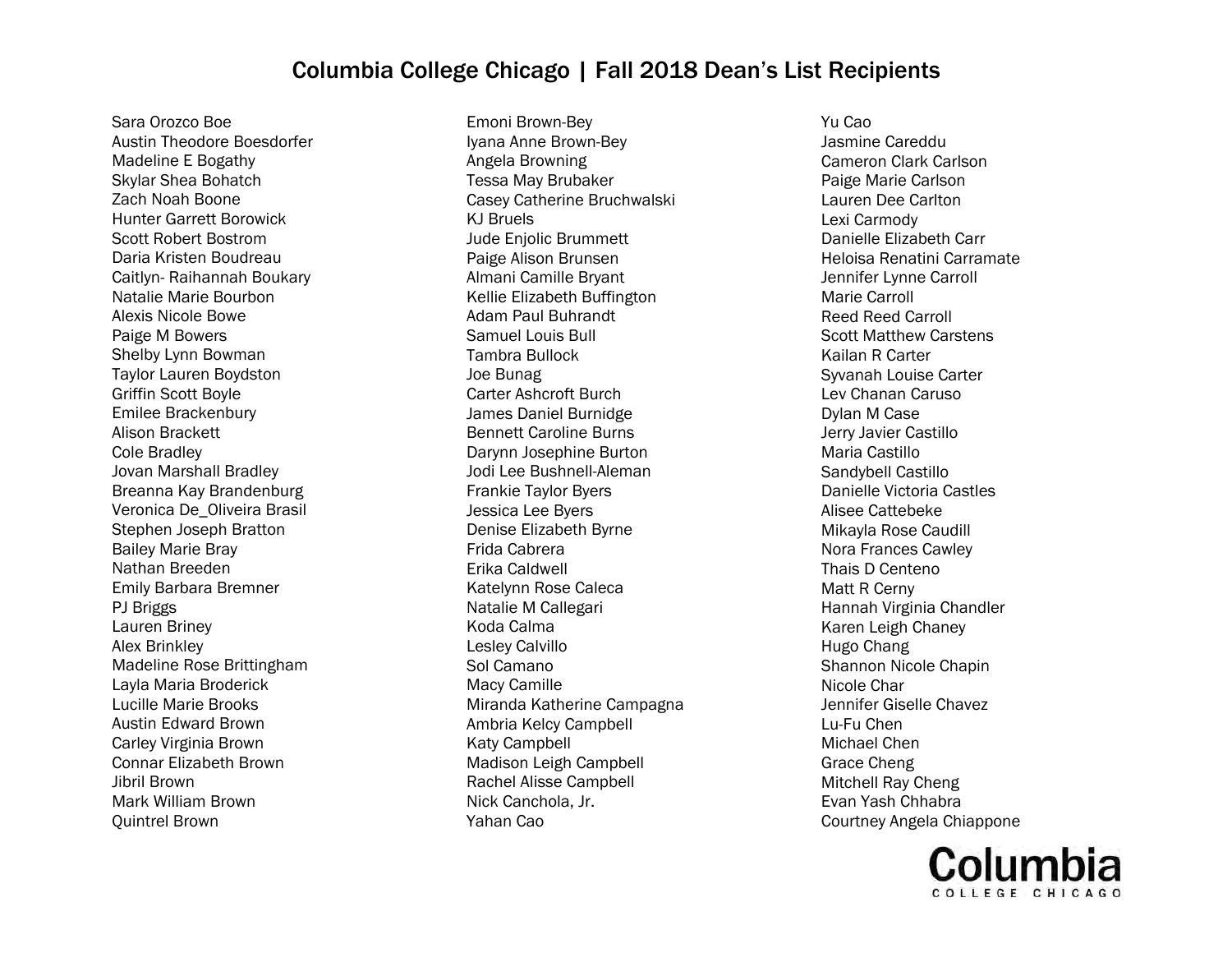Sara Orozco Boe Austin Theodore Boesdorfer Madeline E Bogathy Skylar Shea Bohatch Zach Noah Boone Hunter Garrett Borowick Scott Robert Bostrom Daria Kristen Boudreau Caitlyn- Raihannah Boukary Natalie Marie Bourbon Alexis Nicole Bowe Paige M Bowers Shelby Lynn Bowman Taylor Lauren Boydston Griffin Scott Boyle Emilee Brackenbury Alison Brackett Cole Bradley Jovan Marshall Bradley Breanna Kay Brandenburg Veronica De\_Oliveira Brasil Stephen Joseph Bratton Bailey Marie Bray Nathan Breeden Emily Barbara Bremner PJ Briggs Lauren Briney Alex Brinkley Madeline Rose Brittingham Layla Maria Broderick Lucille Marie Brooks Austin Edward Brown Carley Virginia Brown Connar Elizabeth Brown Jibril Brown Mark William Brown Quintrel Brown

Emoni Brown-Bey Iyana Anne Brown-Bey Angela Browning Tessa May Brubaker Casey Catherine Bruchwalski KJ Bruels Jude Enjolic Brummett Paige Alison Brunsen Almani Camille Bryant Kellie Elizabeth Buffington Adam Paul Buhrandt Samuel Louis Bull Tambra Bullock Joe Bunag Carter Ashcroft Burch James Daniel Burnidge Bennett Caroline Burns Darynn Josephine Burton Jodi Lee Bushnell-Aleman Frankie Taylor Byers Jessica Lee Byers Denise Elizabeth Byrne Frida Cabrera Erika Caldwell Katelynn Rose Caleca Natalie M Callegari Koda Calma Lesley Calvillo Sol Camano Macy Camille Miranda Katherine Campagna Ambria Kelcy Campbell Katy Campbell Madison Leigh Campbell Rachel Alisse Campbell Nick Canchola, Jr. Yahan Cao

Yu Cao Jasmine Careddu Cameron Clark Carlson Paige Marie Carlson Lauren Dee Carlton Lexi Carmody Danielle Elizabeth Carr Heloisa Renatini Carramate Jennifer Lynne Carroll Marie Carroll Reed Reed Carroll Scott Matthew Carstens Kailan R Carter Syvanah Louise Carter Lev Chanan Caruso Dylan M Case Jerry Javier Castillo Maria Castillo Sandybell Castillo Danielle Victoria Castles Alisee Cattebeke Mikayla Rose Caudill Nora Frances Cawley Thais D Centeno Matt R Cerny Hannah Virginia Chandler Karen Leigh Chaney Hugo Chang Shannon Nicole Chapin Nicole Char Jennifer Giselle Chavez Lu-Fu Chen Michael Chen Grace Cheng Mitchell Ray Cheng Evan Yash Chhabra Courtney Angela Chiappone

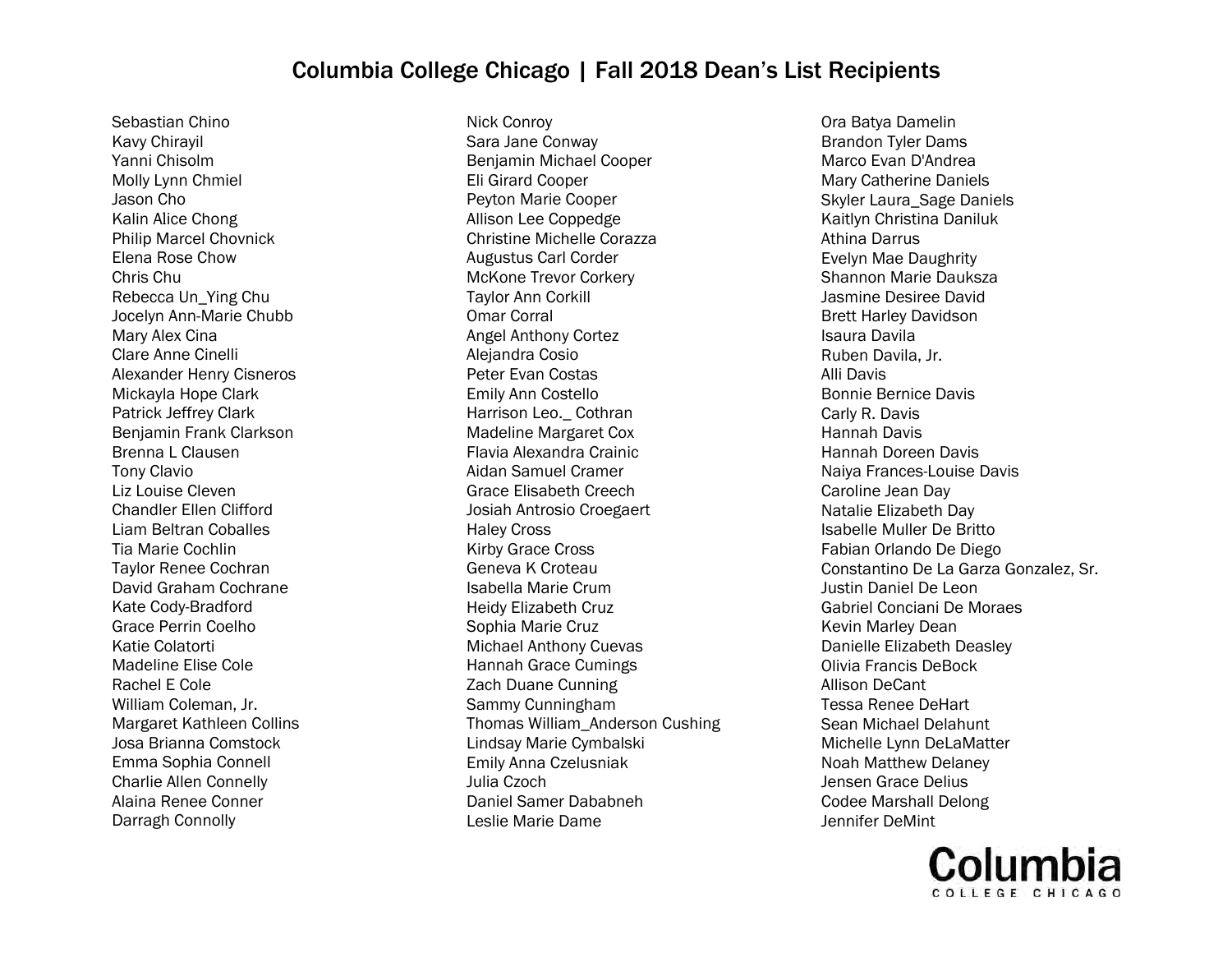Sebastian Chino Kavy ChirayilYanni Chisolm Molly Lynn ChmielJason Cho Kalin Alice Chong Philip Marcel Chovnick Elena Rose Chow Chris Chu Rebecca Un\_Ying Chu Jocelyn Ann-Marie Chubb Mary Alex Cina Clare Anne CinelliAlexander Henry CisnerosMickayla Hope Clark Patrick Jeffrey Clark Benjamin Frank Clarkson Brenna L ClausenTony Clavio Liz Louise Cleven Chandler Ellen Clifford Liam Beltran CoballesTia Marie Cochlin Taylor Renee Cochran David Graham CochraneKate Cody-Bradford Grace Perrin CoelhoKatie Colatorti Madeline Elise ColeRachel E Cole William Coleman, Jr. Margaret Kathleen CollinsJosa Brianna Comstock Emma Sophia ConnellCharlie Allen Connelly Alaina Renee ConnerDarragh Connolly

Nick Conroy Sara Jane Conway Benjamin Michael Cooper Eli Girard Cooper Peyton Marie Cooper Allison Lee Coppedge Christine Michelle Corazza Augustus Carl Corder McKone Trevor Corkery Taylor Ann Corkill Omar Corral Angel Anthony Cortez Alejandra Cosio Peter Evan Costas Emily Ann Costello Harrison Leo.\_ Cothran Madeline Margaret Cox Flavia Alexandra Crainic Aidan Samuel Cramer Grace Elisabeth Creech Josiah Antrosio Croegaert Haley Cross Kirby Grace Cross Geneva K Croteau Isabella Marie Crum Heidy Elizabeth Cruz Sophia Marie Cruz Michael Anthony Cuevas Hannah Grace Cumings Zach Duane Cunning Sammy Cunningham Thomas William\_Anderson Cushing Lindsay Marie Cymbalski Emily Anna Czelusniak Julia Czoch Daniel Samer Dababneh Leslie Marie Dame

Ora Batya Damelin Brandon Tyler Dams Marco Evan D'Andrea Mary Catherine Daniels Skyler Laura\_Sage Daniels Kaitlyn Christina Daniluk Athina Darrus Evelyn Mae Daughrity Shannon Marie Dauksza Jasmine Desiree David Brett Harley Davidson Isaura Davila Ruben Davila, Jr. Alli Davis Bonnie Bernice Davis Carly R. Davis Hannah Davis Hannah Doreen Davis Naiya Frances-Louise Davis Caroline Jean Day Natalie Elizabeth Day Isabelle Muller De Britto Fabian Orlando De Diego Constantino De La Garza Gonzalez, Sr. Justin Daniel De Leon Gabriel Conciani De Moraes Kevin Marley Dean Danielle Elizabeth Deasley Olivia Francis DeBock Allison DeCant Tessa Renee DeHart Sean Michael Delahunt Michelle Lynn DeLaMatter Noah Matthew Delaney Jensen Grace Delius Codee Marshall Delong Jennifer DeMint

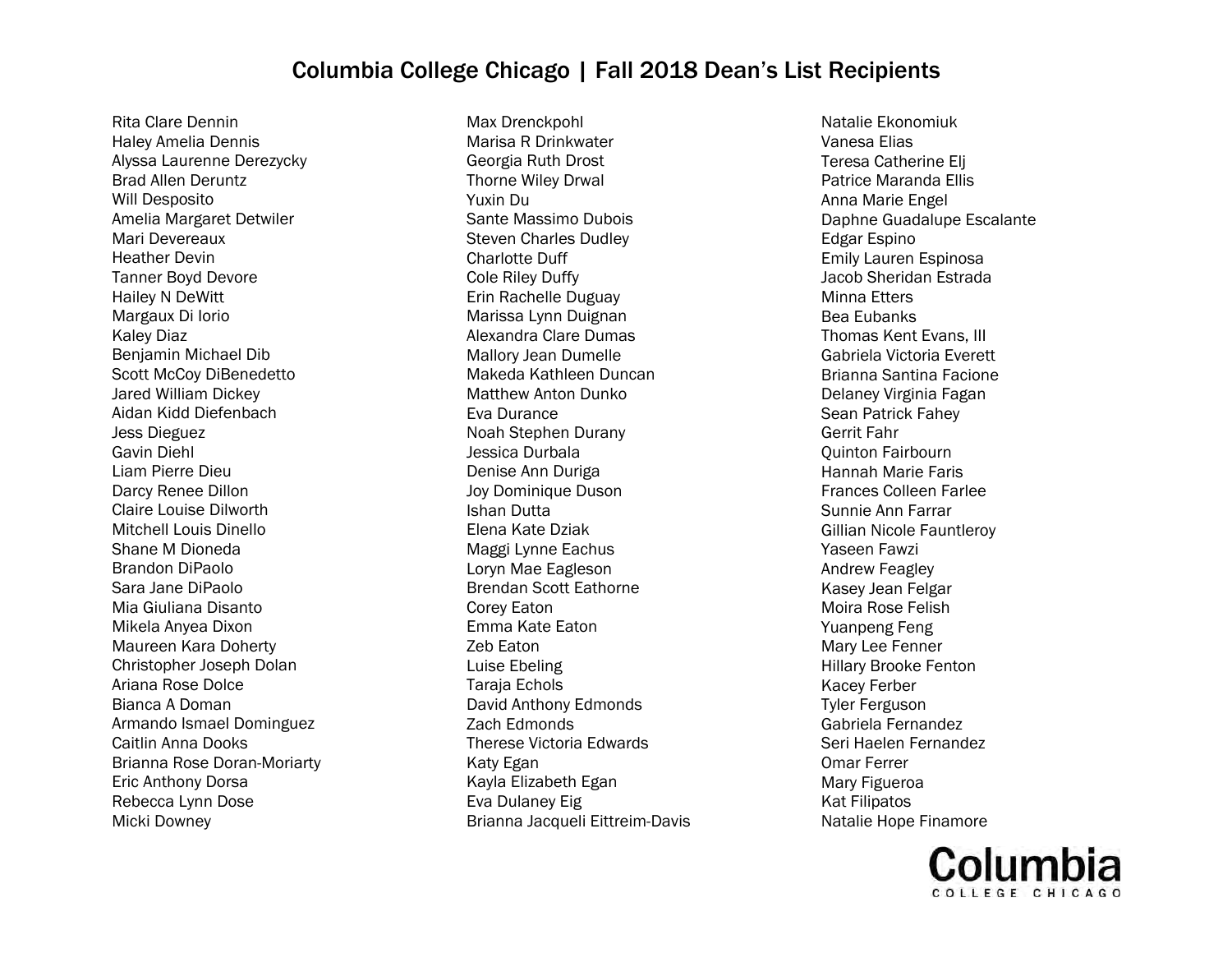Rita Clare Dennin Haley Amelia Dennis Alyssa Laurenne Derezycky Brad Allen Deruntz Will Desposito Amelia Margaret Detwiler Mari Devereaux Heather Devin Tanner Boyd Devore Hailey N DeWitt Margaux Di Iorio Kaley Diaz Benjamin Michael Dib Scott McCoy DiBenedetto Jared William Dickey Aidan Kidd Diefenbach Jess Dieguez Gavin Diehl Liam Pierre Dieu Darcy Renee Dillon Claire Louise Dilworth Mitchell Louis Dinello Shane M Dioneda Brandon DiPaolo Sara Jane DiPaolo Mia Giuliana Disanto Mikela Anyea Dixon Maureen Kara Doherty Christopher Joseph Dolan Ariana Rose Dolce Bianca A Doman Armando Ismael Dominguez Caitlin Anna Dooks Brianna Rose Doran-Moriarty Eric Anthony Dorsa Rebecca Lynn Dose Micki Downey

Max Drenckpohl Marisa R Drinkwater Georgia Ruth Drost Thorne Wiley Drwal Yuxin Du Sante Massimo Dubois Steven Charles Dudley Charlotte Duff Cole Riley Duffy Erin Rachelle Duguay Marissa Lynn Duignan Alexandra Clare Dumas Mallory Jean Dumelle Makeda Kathleen Duncan Matthew Anton Dunko Eva Durance Noah Stephen Durany Jessica Durbala Denise Ann Duriga Joy Dominique Duson Ishan Dutta Elena Kate Dziak Maggi Lynne Eachus Loryn Mae Eagleson Brendan Scott Eathorne Corey Eaton Emma Kate Eaton Zeb Eaton Luise Ebeling Taraja Echols David Anthony Edmonds Zach Edmonds Therese Victoria Edwards Katy Egan Kayla Elizabeth Egan Eva Dulaney Eig Brianna Jacqueli Eittreim-Davis

Natalie Ekonomiuk Vanesa Elias Teresa Catherine Elj Patrice Maranda Ellis Anna Marie Engel Daphne Guadalupe Escalante Edgar Espino Emily Lauren Espinosa Jacob Sheridan Estrada Minna Etters Bea Eubanks Thomas Kent Evans, III Gabriela Victoria Everett Brianna Santina Facione Delaney Virginia Fagan Sean Patrick Fahey Gerrit Fahr Quinton Fairbourn Hannah Marie Faris Frances Colleen Farlee Sunnie Ann Farrar Gillian Nicole Fauntleroy Yaseen Fawzi Andrew Feagley Kasey Jean Felgar Moira Rose Felish Yuanpeng Feng Mary Lee Fenner Hillary Brooke Fenton Kacey Ferber Tyler Ferguson Gabriela Fernandez Seri Haelen Fernandez Omar Ferrer Mary Figueroa Kat Filipatos Natalie Hope Finamore

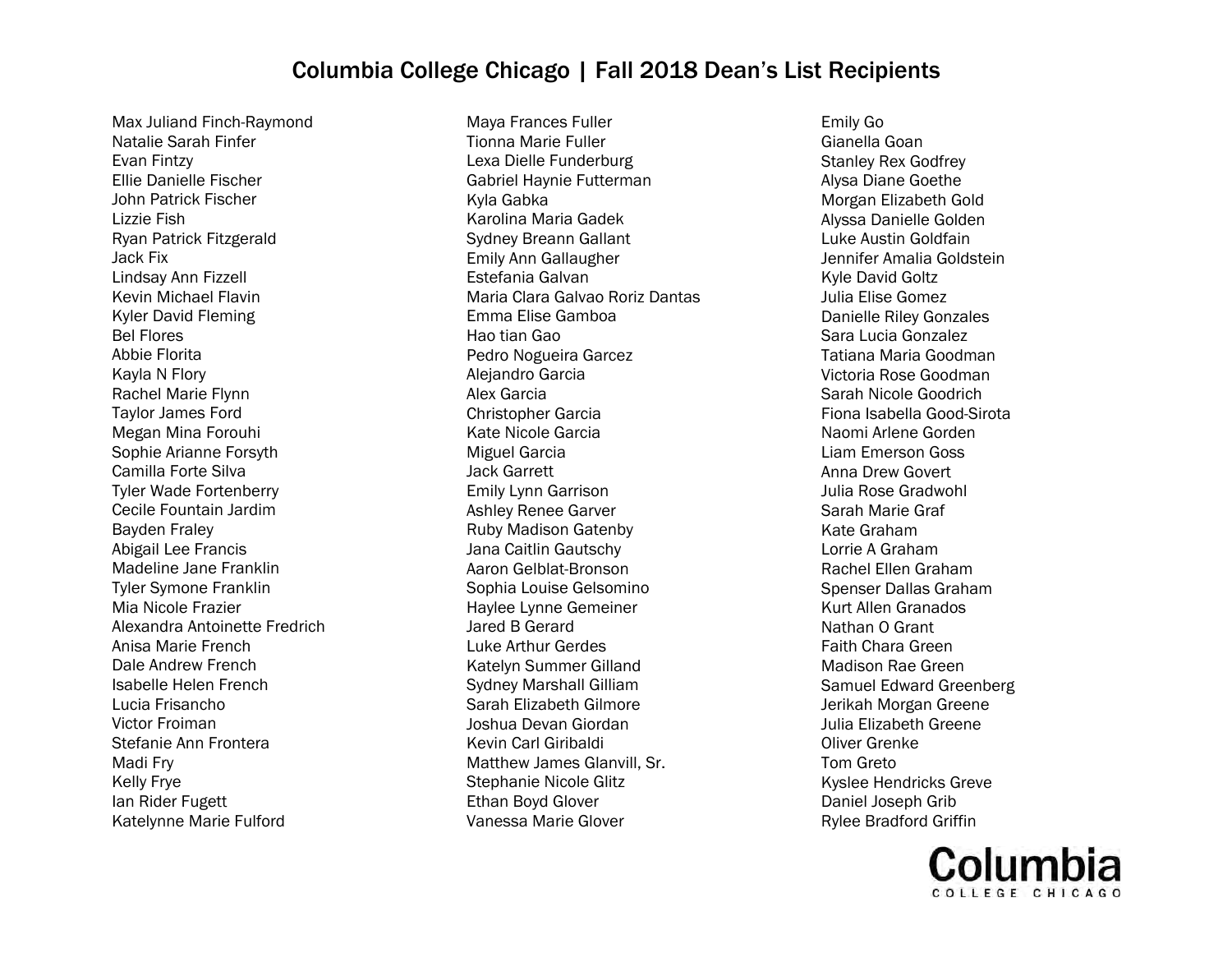Max Juliand Finch-Raymond Natalie Sarah Finfer Evan Fintzy Ellie Danielle Fischer John Patrick Fischer Lizzie Fish Ryan Patrick Fitzgerald Jack Fix Lindsay Ann Fizzell Kevin Michael Flavin Kyler David Fleming Bel Flores Abbie Florita Kayla N Flory Rachel Marie Flynn Taylor James Ford Megan Mina Forouhi Sophie Arianne Forsyth Camilla Forte Silva Tyler Wade Fortenberry Cecile Fountain Jardim Bayden Fraley Abigail Lee Francis Madeline Jane Franklin Tyler Symone Franklin Mia Nicole Frazier Alexandra Antoinette Fredrich Anisa Marie French Dale Andrew French Isabelle Helen French Lucia Frisancho Victor Froiman Stefanie Ann Frontera Madi Fry Kelly Frye Ian Rider Fugett Katelynne Marie Fulford

Maya Frances Fuller Tionna Marie Fuller Lexa Dielle Funderburg Gabriel Haynie Futterman Kyla Gabka Karolina Maria Gadek Sydney Breann Gallant Emily Ann Gallaugher Estefania Galvan Maria Clara Galvao Roriz Dantas Emma Elise Gamboa Hao tian Gao Pedro Nogueira Garcez Alejandro Garcia Alex Garcia Christopher Garcia Kate Nicole Garcia Miguel Garcia Jack Garrett Emily Lynn Garrison Ashley Renee Garver Ruby Madison Gatenby Jana Caitlin Gautschy Aaron Gelblat-Bronson Sophia Louise Gelsomino Haylee Lynne Gemeiner Jared B Gerard Luke Arthur Gerdes Katelyn Summer Gilland Sydney Marshall Gilliam Sarah Elizabeth Gilmore Joshua Devan Giordan Kevin Carl Giribaldi Matthew James Glanvill, Sr. Stephanie Nicole Glitz Ethan Boyd Glover Vanessa Marie Glover

Emily Go Gianella Goan Stanley Rex Godfrey Alysa Diane Goethe Morgan Elizabeth Gold Alyssa Danielle Golden Luke Austin Goldfain Jennifer Amalia Goldstein Kyle David Goltz Julia Elise Gomez Danielle Riley Gonzales Sara Lucia Gonzalez Tatiana Maria Goodman Victoria Rose Goodman Sarah Nicole Goodrich Fiona Isabella Good-Sirota Naomi Arlene Gorden Liam Emerson Goss Anna Drew Govert Julia Rose Gradwohl Sarah Marie Graf Kate Graham Lorrie A Graham Rachel Ellen Graham Spenser Dallas Graham Kurt Allen Granados Nathan O Grant Faith Chara Green Madison Rae Green Samuel Edward Greenberg Jerikah Morgan Greene Julia Elizabeth Greene Oliver Grenke Tom Greto Kyslee Hendricks Greve Daniel Joseph Grib Rylee Bradford Griffin

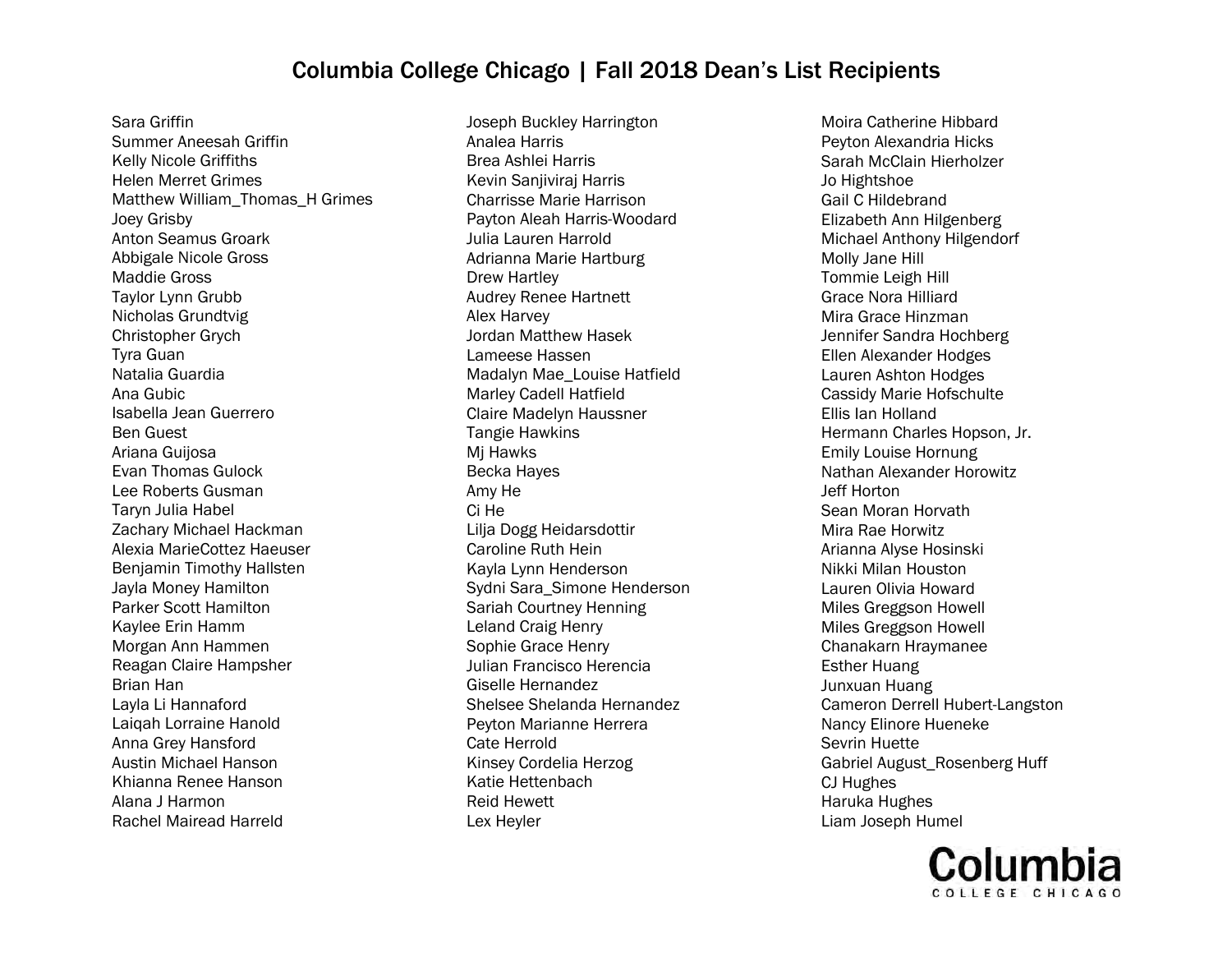Sara Griffin Summer Aneesah Griffin Kelly Nicole Griffiths Helen Merret Grimes Matthew William\_Thomas\_H Grimes Joey Grisby Anton Seamus Groark Abbigale Nicole Gross Maddie Gross Taylor Lynn Grubb Nicholas Grundtvig Christopher Grych Tyra Guan Natalia Guardia Ana Gubic Isabella Jean Guerrero Ben Guest Ariana Guijosa Evan Thomas Gulock Lee Roberts Gusman Taryn Julia Habel Zachary Michael Hackman Alexia MarieCottez Haeuser Benjamin Timothy Hallsten Jayla Money Hamilton Parker Scott Hamilton Kaylee Erin Hamm Morgan Ann Hammen Reagan Claire Hampsher Brian Han Layla Li Hannaford Laiqah Lorraine Hanold Anna Grey Hansford Austin Michael Hanson Khianna Renee Hanson Alana J Harmon Rachel Mairead Harreld

Joseph Buckley Harrington Analea Harris Brea Ashlei Harris Kevin Sanjiviraj Harris Charrisse Marie Harrison Payton Aleah Harris-Woodard Julia Lauren Harrold Adrianna Marie Hartburg Drew Hartley Audrey Renee Hartnett Alex Harvey Jordan Matthew Hasek Lameese Hassen Madalyn Mae\_Louise Hatfield Marley Cadell Hatfield Claire Madelyn Haussner Tangie Hawkins Mj Hawks Becka Hayes Amy He Ci He Lilja Dogg Heidarsdottir Caroline Ruth Hein Kayla Lynn Henderson Sydni Sara\_Simone Henderson Sariah Courtney Henning Leland Craig Henry Sophie Grace Henry Julian Francisco Herencia Giselle Hernandez Shelsee Shelanda Hernandez Peyton Marianne Herrera Cate Herrold Kinsey Cordelia Herzog Katie Hettenbach Reid Hewett Lex Heyler

Moira Catherine Hibbard Peyton Alexandria Hicks Sarah McClain Hierholzer Jo Hightshoe Gail C Hildebrand Elizabeth Ann Hilgenberg Michael Anthony Hilgendorf Molly Jane Hill Tommie Leigh Hill Grace Nora Hilliard Mira Grace Hinzman Jennifer Sandra Hochberg Ellen Alexander Hodges Lauren Ashton Hodges Cassidy Marie Hofschulte Ellis Ian Holland Hermann Charles Hopson, Jr. Emily Louise Hornung Nathan Alexander Horowitz Jeff Horton Sean Moran Horvath Mira Rae Horwitz Arianna Alyse Hosinski Nikki Milan Houston Lauren Olivia Howard Miles Greggson Howell Miles Greggson Howell Chanakarn Hraymanee Esther Huang Junxuan Huang Cameron Derrell Hubert-Langston Nancy Elinore Hueneke Sevrin Huette Gabriel August\_Rosenberg Huff CJ Hughes Haruka Hughes Liam Joseph Humel

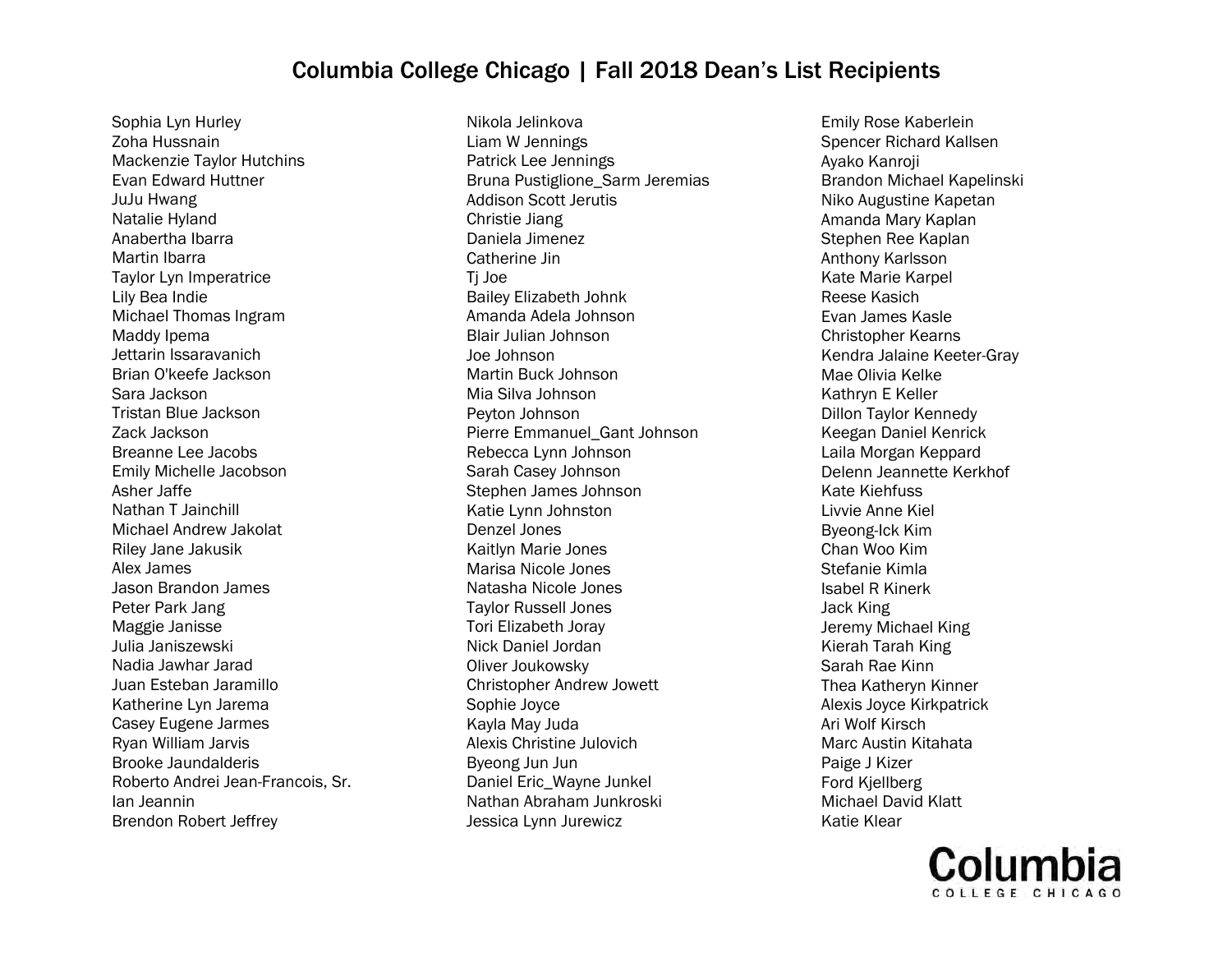Sophia Lyn Hurley Zoha Hussnain Mackenzie Taylor Hutchins Evan Edward Huttner JuJu Hwang Natalie Hyland Anabertha Ibarra Martin Ibarra Taylor Lyn Imperatrice Lily Bea Indie Michael Thomas Ingram Maddy Ipema Jettarin Issaravanich Brian O'keefe Jackson Sara Jackson Tristan Blue Jackson Zack Jackson Breanne Lee Jacobs Emily Michelle Jacobson Asher Jaffe Nathan T Jainchill Michael Andrew Jakolat Riley Jane Jakusik Alex James Jason Brandon James Peter Park Jang Maggie Janisse Julia Janiszewski Nadia Jawhar Jarad Juan Esteban Jaramillo Katherine Lyn Jarema Casey Eugene Jarmes Ryan William Jarvis Brooke Jaundalderis Roberto Andrei Jean-Francois, Sr. Ian Jeannin Brendon Robert Jeffrey

Nikola Jelinkova Liam W Jennings Patrick Lee Jennings Bruna Pustiglione\_Sarm Jeremias Addison Scott Jerutis Christie Jiang Daniela Jimenez Catherine Jin Tj Joe Bailey Elizabeth Johnk Amanda Adela Johnson Blair Julian Johnson Joe Johnson Martin Buck Johnson Mia Silva Johnson Peyton Johnson Pierre Emmanuel\_Gant Johnson Rebecca Lynn Johnson Sarah Casey Johnson Stephen James Johnson Katie Lynn Johnston Denzel Jones Kaitlyn Marie Jones Marisa Nicole Jones Natasha Nicole Jones Taylor Russell Jones Tori Elizabeth Joray Nick Daniel Jordan Oliver Joukowsky Christopher Andrew Jowett Sophie Joyce Kayla May Juda Alexis Christine Julovich Byeong Jun Jun Daniel Eric\_Wayne Junkel Nathan Abraham Junkroski Jessica Lynn Jurewicz

Emily Rose Kaberlein Spencer Richard Kallsen Ayako Kanroji Brandon Michael Kapelinski Niko Augustine Kapetan Amanda Mary Kaplan Stephen Ree Kaplan Anthony Karlsson Kate Marie Karpel Reese Kasich Evan James Kasle Christopher Kearns Kendra Jalaine Keeter-Gray Mae Olivia Kelke Kathryn E Keller Dillon Taylor Kennedy Keegan Daniel Kenrick Laila Morgan Keppard Delenn Jeannette Kerkhof Kate Kiehfuss Livvie Anne Kiel Byeong-Ick Kim Chan Woo Kim Stefanie Kimla Isabel R Kinerk Jack King Jeremy Michael King Kierah Tarah King Sarah Rae Kinn Thea Katheryn Kinner Alexis Joyce Kirkpatrick Ari Wolf Kirsch Marc Austin Kitahata Paige J Kizer Ford Kjellberg Michael David Klatt Katie Klear

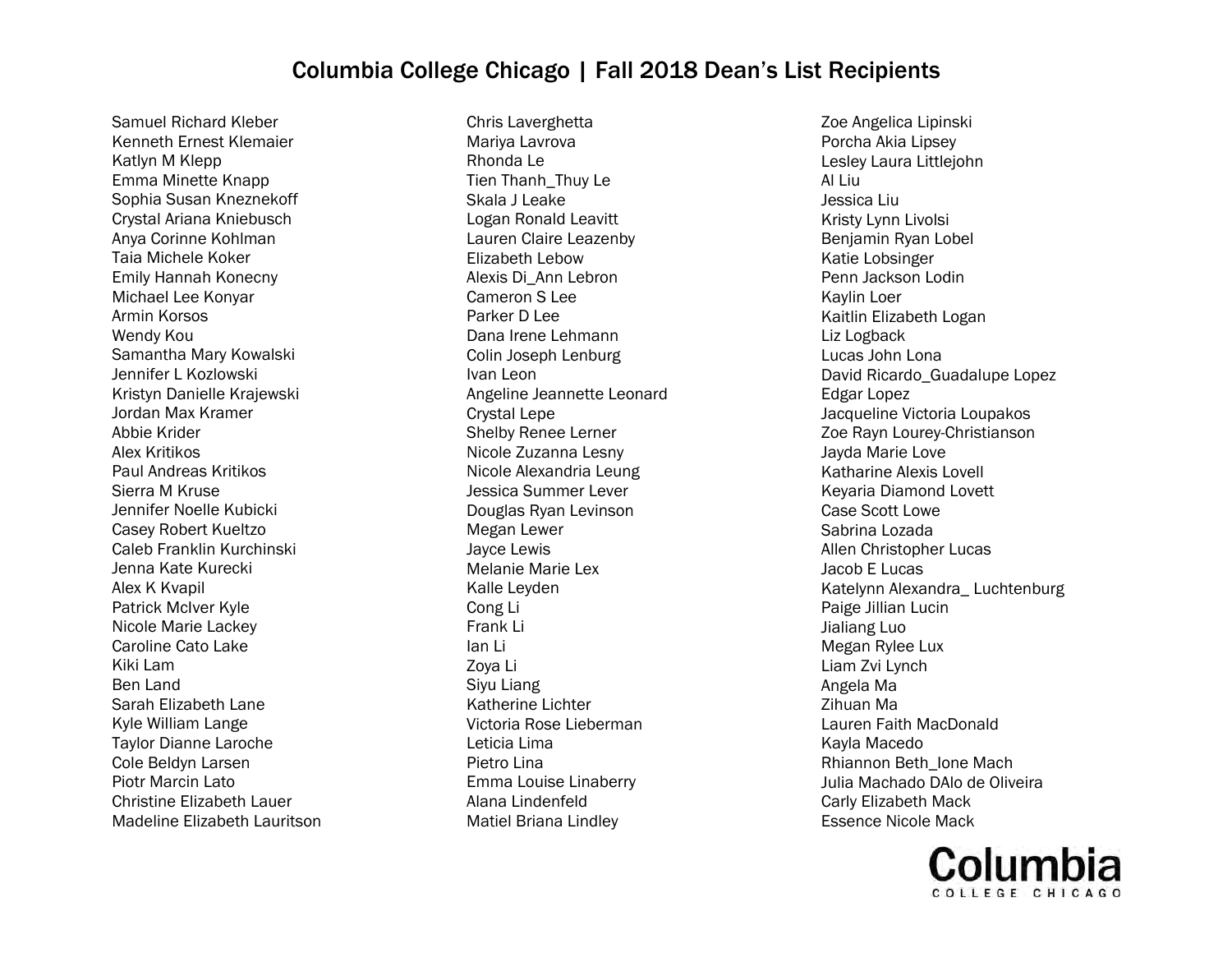Samuel Richard Kleber Kenneth Ernest Klemaier Katlyn M Klepp Emma Minette Knapp Sophia Susan Kneznekoff Crystal Ariana Kniebusch Anya Corinne Kohlman Taia Michele Koker Emily Hannah Konecny Michael Lee Konyar Armin Korsos Wendy Kou Samantha Mary Kowalski Jennifer L Kozlowski Kristyn Danielle Krajewski Jordan Max Kramer Abbie Krider Alex Kritikos Paul Andreas Kritikos Sierra M Kruse Jennifer Noelle Kubicki Casey Robert Kueltzo Caleb Franklin Kurchinski Jenna Kate Kurecki Alex K Kvapil Patrick McIver Kyle Nicole Marie Lackey Caroline Cato Lake Kiki Lam Ben Land Sarah Elizabeth Lane Kyle William Lange Taylor Dianne Laroche Cole Beldyn Larsen Piotr Marcin Lato Christine Elizabeth Lauer Madeline Elizabeth Lauritson

Chris Laverghetta Mariya Lavrova Rhonda Le Tien Thanh\_Thuy Le Skala J Leake Logan Ronald Leavitt Lauren Claire Leazenby Elizabeth Lebow Alexis Di\_Ann Lebron Cameron S Lee Parker D Lee Dana Irene Lehmann Colin Joseph Lenburg Ivan Leon Angeline Jeannette Leonard Crystal Lepe Shelby Renee Lerner Nicole Zuzanna Lesny Nicole Alexandria Leung Jessica Summer Lever Douglas Ryan Levinson Megan Lewer Jayce Lewis Melanie Marie Lex Kalle Leyden Cong Li Frank Li Ian Li Zoya Li Siyu Liang Katherine Lichter Victoria Rose Lieberman Leticia Lima Pietro Lina Emma Louise Linaberry Alana Lindenfeld Matiel Briana Lindley

Zoe Angelica Lipinski Porcha Akia Lipsey Lesley Laura Littlejohn Al Liu Jessica Liu Kristy Lynn Livolsi Benjamin Ryan Lobel Katie Lobsinger Penn Jackson Lodin Kaylin Loer Kaitlin Elizabeth Logan Liz Logback Lucas John Lona David Ricardo\_Guadalupe Lopez Edgar Lopez Jacqueline Victoria Loupakos Zoe Rayn Lourey-Christianson Jayda Marie Love Katharine Alexis Lovell Keyaria Diamond Lovett Case Scott Lowe Sabrina Lozada Allen Christopher Lucas Jacob E Lucas Katelynn Alexandra\_ Luchtenburg Paige Jillian Lucin Jialiang Luo Megan Rylee Lux Liam Zvi Lynch Angela Ma Zihuan Ma Lauren Faith MacDonald Kayla Macedo Rhiannon Beth\_Ione Mach Julia Machado DAlo de Oliveira Carly Elizabeth Mack Essence Nicole Mack

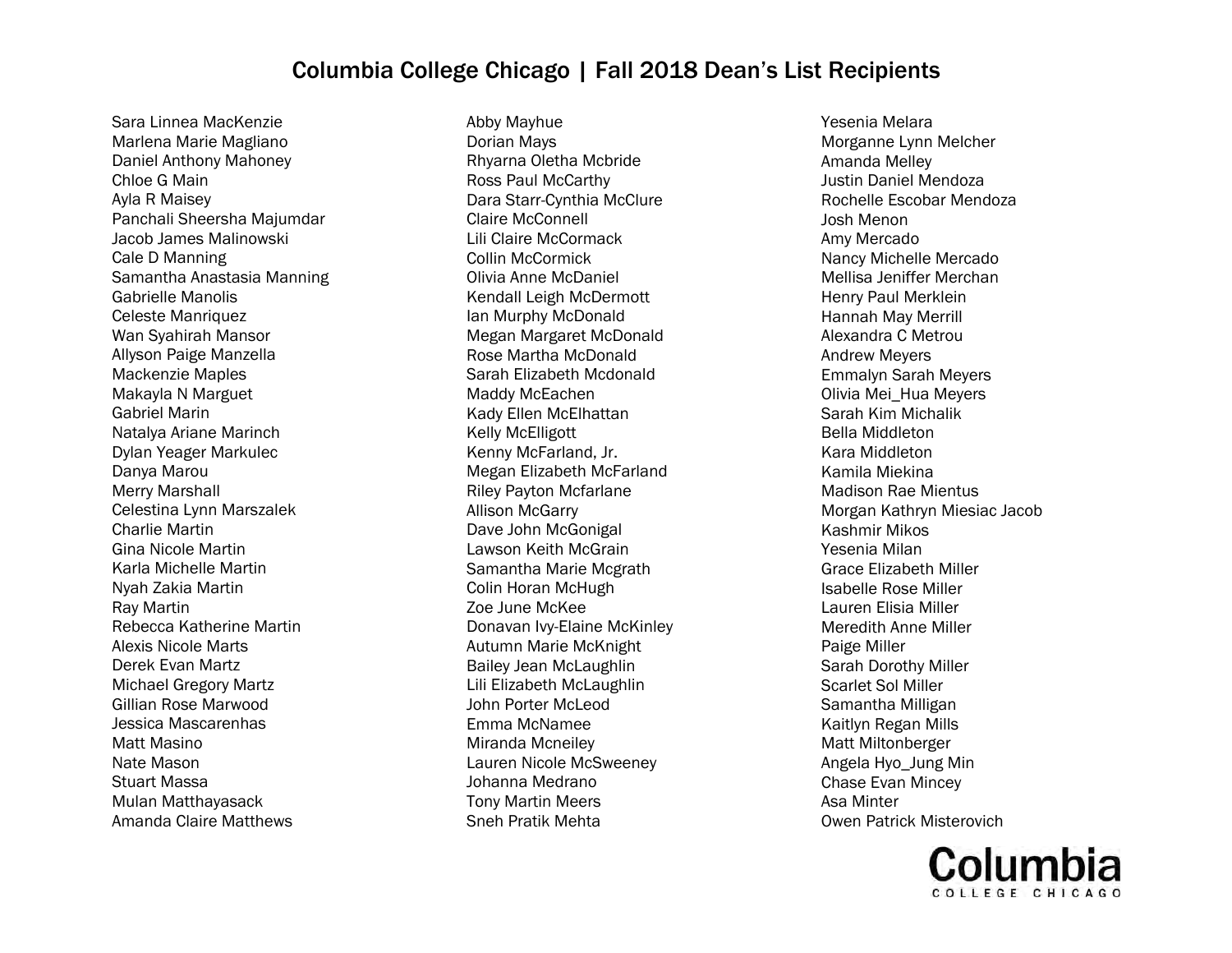Sara Linnea MacKenzie Marlena Marie Magliano Daniel Anthony Mahoney Chloe G Main Ayla R Maisey Panchali Sheersha Majumdar Jacob James Malinowski Cale D Manning Samantha Anastasia Manning Gabrielle Manolis Celeste Manriquez Wan Syahirah Mansor Allyson Paige Manzella Mackenzie Maples Makayla N Marguet Gabriel Marin Natalya Ariane Marinch Dylan Yeager Markulec Danya Marou Merry Marshall Celestina Lynn Marszalek Charlie Martin Gina Nicole Martin Karla Michelle Martin Nyah Zakia Martin Ray Martin Rebecca Katherine Martin Alexis Nicole Marts Derek Evan Martz Michael Gregory Martz Gillian Rose Marwood Jessica Mascarenhas Matt Masino Nate Mason Stuart Massa Mulan Matthayasack Amanda Claire Matthews

Abby Mayhue Dorian Mays Rhyarna Oletha Mcbride Ross Paul McCarthy Dara Starr-Cynthia McClure Claire McConnell Lili Claire McCormack Collin McCormick Olivia Anne McDaniel Kendall Leigh McDermott Ian Murphy McDonald Megan Margaret McDonald Rose Martha McDonald Sarah Elizabeth Mcdonald Maddy McEachen Kady Ellen McElhattan Kelly McElligott Kenny McFarland, Jr. Megan Elizabeth McFarland Riley Payton Mcfarlane Allison McGarry Dave John McGonigal Lawson Keith McGrain Samantha Marie Mcgrath Colin Horan McHugh Zoe June McKee Donavan Ivy-Elaine McKinley Autumn Marie McKnight Bailey Jean McLaughlin Lili Elizabeth McLaughlin John Porter McLeod Emma McNamee Miranda Mcneiley Lauren Nicole McSweeney Johanna Medrano Tony Martin Meers Sneh Pratik Mehta

Yesenia Melara Morganne Lynn Melcher Amanda Melley Justin Daniel Mendoza Rochelle Escobar Mendoza Josh Menon Amy Mercado Nancy Michelle Mercado Mellisa Jeniffer Merchan Henry Paul Merklein Hannah May Merrill Alexandra C Metrou Andrew Meyers Emmalyn Sarah Meyers Olivia Mei\_Hua Meyers Sarah Kim Michalik Bella Middleton Kara Middleton Kamila Miekina Madison Rae Mientus Morgan Kathryn Miesiac Jacob Kashmir Mikos Yesenia Milan Grace Elizabeth Miller Isabelle Rose Miller Lauren Elisia Miller Meredith Anne Miller Paige Miller Sarah Dorothy Miller Scarlet Sol Miller Samantha Milligan Kaitlyn Regan Mills Matt Miltonberger Angela Hyo\_Jung Min Chase Evan Mincey Asa Minter Owen Patrick Misterovich

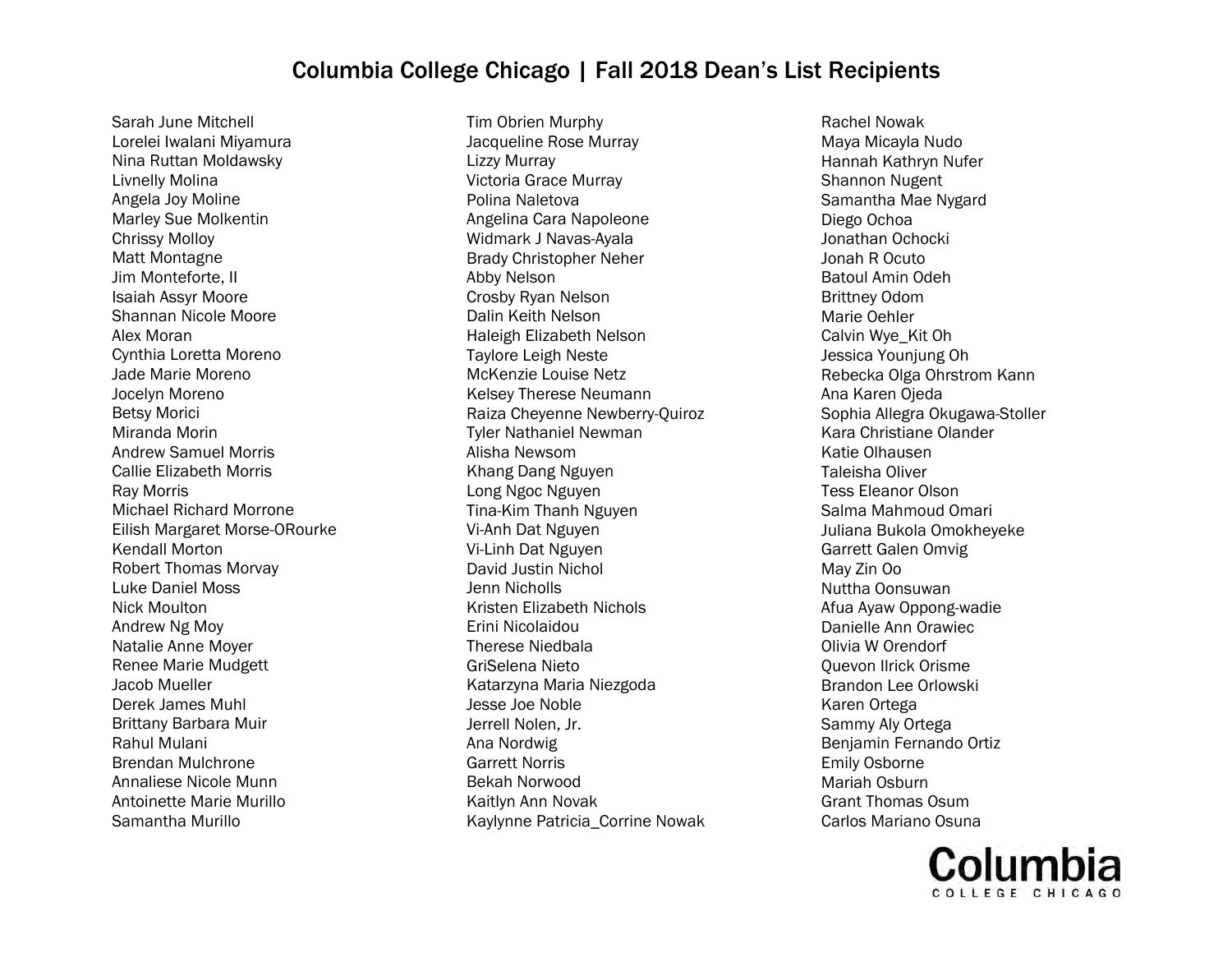Sarah June Mitchell Lorelei Iwalani Miyamura Nina Ruttan Moldawsky Livnelly Molina Angela Joy Moline Marley Sue Molkentin Chrissy Molloy Matt Montagne Jim Monteforte, II Isaiah Assyr Moore Shannan Nicole Moore Alex Moran Cynthia Loretta Moreno Jade Marie Moreno Jocelyn Moreno Betsy Morici Miranda Morin Andrew Samuel Morris Callie Elizabeth Morris Ray Morris Michael Richard Morrone Eilish Margaret Morse-ORourke Kendall Morton Robert Thomas Morvay Luke Daniel Moss Nick Moulton Andrew Ng Moy Natalie Anne Moyer Renee Marie Mudgett Jacob Mueller Derek James Muhl Brittany Barbara Muir Rahul Mulani Brendan Mulchrone Annaliese Nicole Munn Antoinette Marie Murillo Samantha Murillo

Tim Obrien Murphy Jacqueline Rose Murray Lizzy Murray Victoria Grace Murray Polina Naletova Angelina Cara Napoleone Widmark J Navas-Ayala Brady Christopher Neher Abby Nelson Crosby Ryan Nelson Dalin Keith Nelson Haleigh Elizabeth Nelson Taylore Leigh Neste McKenzie Louise Netz Kelsey Therese Neumann Raiza Cheyenne Newberry-Quiroz Tyler Nathaniel Newman Alisha Newsom Khang Dang Nguyen Long Ngoc Nguyen Tina-Kim Thanh Nguyen Vi-Anh Dat Nguyen Vi-Linh Dat Nguyen David Justin Nichol Jenn Nicholls Kristen Elizabeth Nichols Erini Nicolaidou Therese Niedbala GriSelena Nieto Katarzyna Maria Niezgoda Jesse Joe Noble Jerrell Nolen, Jr. Ana Nordwig Garrett Norris Bekah Norwood Kaitlyn Ann Novak Kaylynne Patricia\_Corrine Nowak

Rachel Nowak Maya Micayla Nudo Hannah Kathryn Nufer Shannon Nugent Samantha Mae Nygard Diego Ochoa Jonathan Ochocki Jonah R Ocuto Batoul Amin Odeh Brittney Odom Marie Oehler Calvin Wye\_Kit Oh Jessica Younjung Oh Rebecka Olga Ohrstrom Kann Ana Karen Ojeda Sophia Allegra Okugawa-Stoller Kara Christiane Olander Katie Olhausen Taleisha Oliver Tess Eleanor Olson Salma Mahmoud Omari Juliana Bukola Omokheyeke Garrett Galen Omvig May Zin Oo Nuttha Oonsuwan Afua Ayaw Oppong-wadie Danielle Ann Orawiec Olivia W Orendorf Quevon Ilrick Orisme Brandon Lee Orlowski Karen Ortega Sammy Aly Ortega Benjamin Fernando Ortiz Emily Osborne Mariah Osburn Grant Thomas Osum Carlos Mariano Osuna

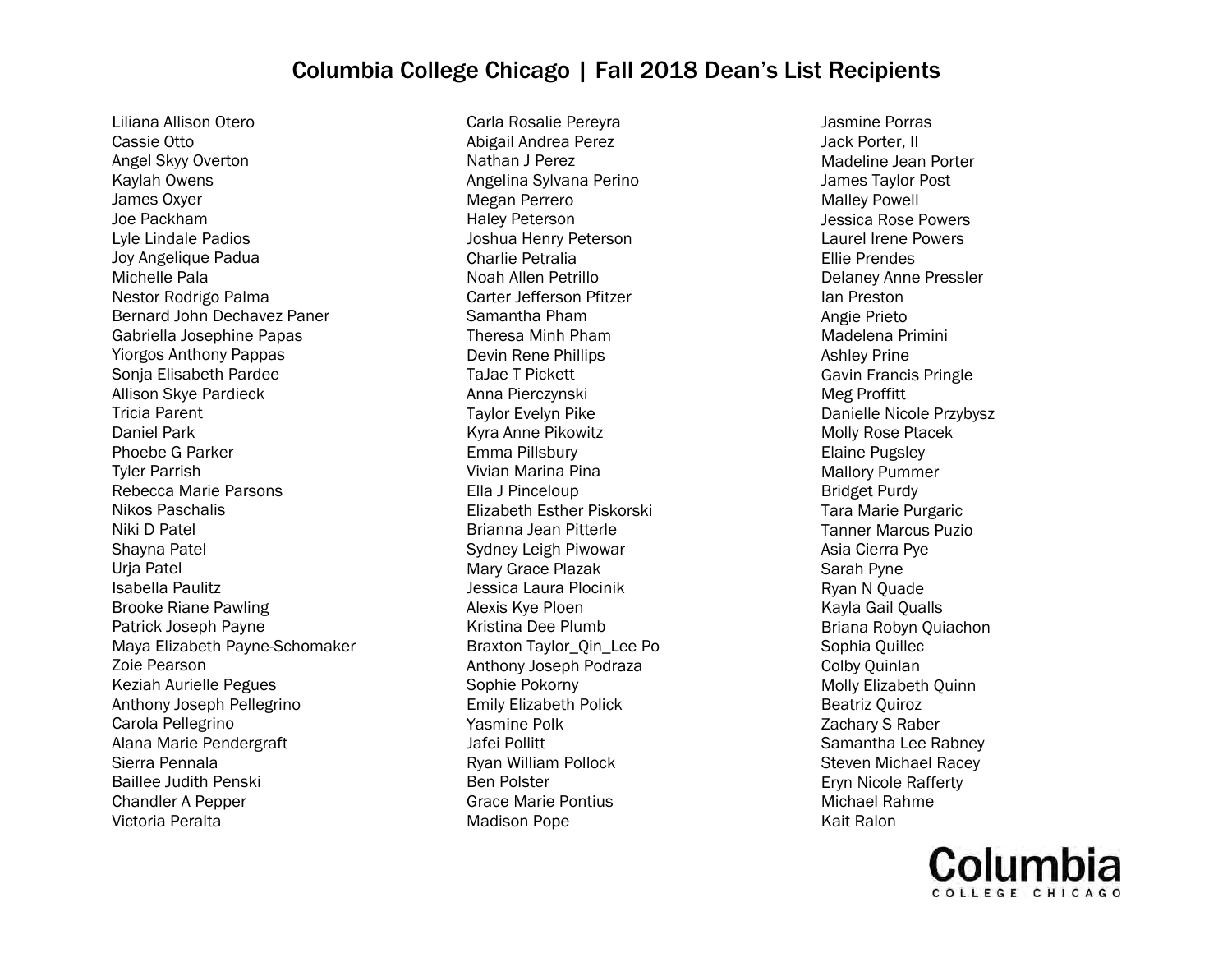Liliana Allison Otero Cassie Otto Angel Skyy Overton Kaylah Owens James Oxyer Joe Packham Lyle Lindale Padios Joy Angelique Padua Michelle Pala Nestor Rodrigo Palma Bernard John Dechavez Paner Gabriella Josephine Papas Yiorgos Anthony Pappas Sonja Elisabeth Pardee Allison Skye Pardieck Tricia Parent Daniel Park Phoebe G Parker Tyler Parrish Rebecca Marie Parsons Nikos Paschalis Niki D Patel Shayna Patel Urja Patel Isabella Paulitz Brooke Riane Pawling Patrick Joseph Payne Maya Elizabeth Payne-Schomaker Zoie Pearson Keziah Aurielle Pegues Anthony Joseph Pellegrino Carola Pellegrino Alana Marie Pendergraft Sierra Pennala Baillee Judith Penski Chandler A Pepper Victoria Peralta

Carla Rosalie Pereyra Abigail Andrea Perez Nathan J Perez Angelina Sylvana Perino Megan Perrero Haley Peterson Joshua Henry Peterson Charlie Petralia Noah Allen Petrillo Carter Jefferson Pfitzer Samantha Pham Theresa Minh Pham Devin Rene Phillips TaJae T Pickett Anna Pierczynski Taylor Evelyn Pike Kyra Anne Pikowitz Emma Pillsbury Vivian Marina Pina Ella J Pinceloup Elizabeth Esther Piskorski Brianna Jean Pitterle Sydney Leigh Piwowar Mary Grace Plazak Jessica Laura Plocinik Alexis Kye Ploen Kristina Dee Plumb Braxton Taylor\_Qin\_Lee Po Anthony Joseph Podraza Sophie Pokorny Emily Elizabeth Polick Yasmine Polk Jafei Pollitt Ryan William Pollock Ben Polster Grace Marie Pontius Madison Pope

Jasmine Porras Jack Porter, II Madeline Jean Porter James Taylor Post Malley Powell Jessica Rose Powers Laurel Irene Powers Ellie Prendes Delaney Anne Pressler Ian Preston Angie Prieto Madelena Primini Ashley Prine Gavin Francis Pringle Meg Proffitt Danielle Nicole Przybysz Molly Rose Ptacek Elaine Pugsley Mallory Pummer Bridget Purdy Tara Marie Purgaric Tanner Marcus Puzio Asia Cierra Pye Sarah Pyne Ryan N Quade Kayla Gail Qualls Briana Robyn Quiachon Sophia Quillec Colby Quinlan Molly Elizabeth Quinn Beatriz Quiroz Zachary S Raber Samantha Lee Rabney Steven Michael Racey Eryn Nicole Rafferty Michael Rahme Kait Ralon

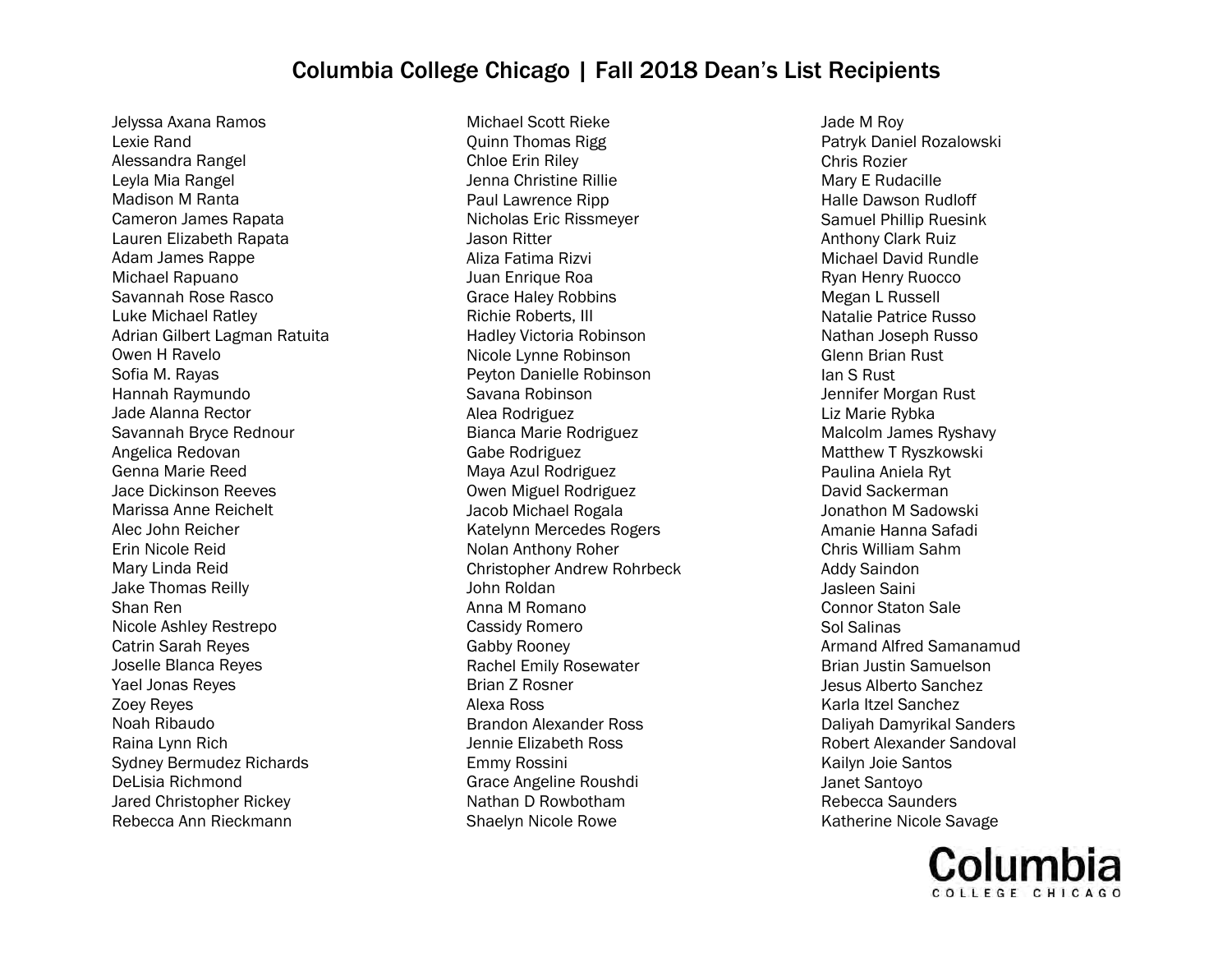Jelyssa Axana Ramos Lexie Rand Alessandra Rangel Leyla Mia Rangel Madison M Ranta Cameron James Rapata Lauren Elizabeth Rapata Adam James Rappe Michael Rapuano Savannah Rose Rasco Luke Michael Ratley Adrian Gilbert Lagman Ratuita Owen H Ravelo Sofia M. Rayas Hannah Raymundo Jade Alanna Rector Savannah Bryce Rednour Angelica Redovan Genna Marie Reed Jace Dickinson Reeves Marissa Anne Reichelt Alec John Reicher Erin Nicole Reid Mary Linda Reid Jake Thomas Reilly Shan Ren Nicole Ashley Restrepo Catrin Sarah Reyes Joselle Blanca Reyes Yael Jonas Reyes Zoey Reyes Noah Ribaudo Raina Lynn Rich Sydney Bermudez Richards DeLisia Richmond Jared Christopher Rickey Rebecca Ann Rieckmann

Michael Scott Rieke Quinn Thomas Rigg Chloe Erin Riley Jenna Christine Rillie Paul Lawrence Ripp Nicholas Eric Rissmeyer Jason Ritter Aliza Fatima Rizvi Juan Enrique Roa Grace Haley Robbins Richie Roberts, III Hadley Victoria Robinson Nicole Lynne Robinson Peyton Danielle Robinson Savana Robinson Alea Rodriguez Bianca Marie Rodriguez Gabe Rodriguez Maya Azul Rodriguez Owen Miguel Rodriguez Jacob Michael Rogala Katelynn Mercedes Rogers Nolan Anthony Roher Christopher Andrew Rohrbeck John Roldan Anna M Romano Cassidy Romero Gabby Rooney Rachel Emily Rosewater Brian Z Rosner Alexa Ross Brandon Alexander Ross Jennie Elizabeth Ross Emmy Rossini Grace Angeline Roushdi Nathan D Rowbotham Shaelyn Nicole Rowe

Jade M Roy Patryk Daniel Rozalowski Chris Rozier Mary E Rudacille Halle Dawson Rudloff Samuel Phillip Ruesink Anthony Clark Ruiz Michael David Rundle Ryan Henry Ruocco Megan L Russell Natalie Patrice Russo Nathan Joseph Russo Glenn Brian Rust Ian S Rust Jennifer Morgan Rust Liz Marie Rybka Malcolm James Ryshavy Matthew T Ryszkowski Paulina Aniela Ryt David Sackerman Jonathon M Sadowski Amanie Hanna Safadi Chris William Sahm Addy Saindon Jasleen Saini Connor Staton Sale Sol Salinas Armand Alfred Samanamud Brian Justin Samuelson Jesus Alberto Sanchez Karla Itzel Sanchez Daliyah Damyrikal Sanders Robert Alexander Sandoval Kailyn Joie Santos Janet Santoyo Rebecca Saunders Katherine Nicole Savage

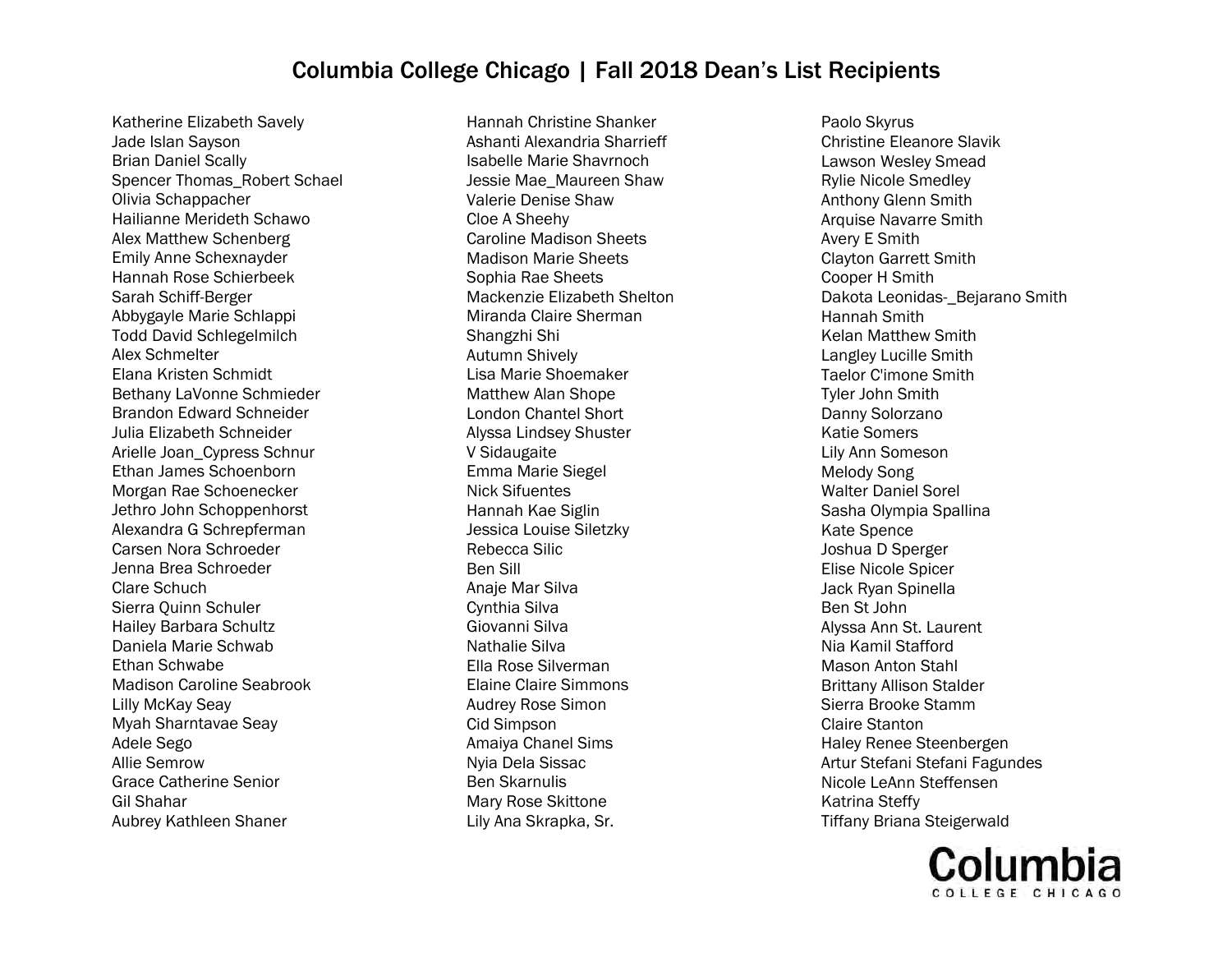Katherine Elizabeth Savely Jade Islan Sayson Brian Daniel Scally Spencer Thomas\_Robert Schael Olivia Schappacher Hailianne Merideth Schawo Alex Matthew Schenberg Emily Anne Schexnayder Hannah Rose Schierbeek Sarah Schiff-Berger Abbygayle Marie Schlappi Todd David Schlegelmilch Alex Schmelter Elana Kristen Schmidt Bethany LaVonne Schmieder Brandon Edward Schneider Julia Elizabeth Schneider Arielle Joan\_Cypress Schnur Ethan James Schoenborn Morgan Rae Schoenecker Jethro John Schoppenhorst Alexandra G Schrepferman Carsen Nora Schroeder Jenna Brea Schroeder Clare Schuch Sierra Quinn Schuler Hailey Barbara Schultz Daniela Marie Schwab Ethan Schwabe Madison Caroline Seabrook Lilly McKay Seay Myah Sharntavae Seay Adele Sego Allie Semrow Grace Catherine Senior Gil Shahar Aubrey Kathleen Shaner

Hannah Christine Shanker Ashanti Alexandria Sharrieff Isabelle Marie Shavrnoch Jessie Mae\_Maureen Shaw Valerie Denise Shaw Cloe A Sheehy Caroline Madison Sheets Madison Marie Sheets Sophia Rae Sheets Mackenzie Elizabeth Shelton Miranda Claire Sherman Shangzhi Shi Autumn Shively Lisa Marie Shoemaker Matthew Alan Shope London Chantel Short Alyssa Lindsey Shuster V Sidaugaite Emma Marie Siegel Nick Sifuentes Hannah Kae Siglin Jessica Louise Siletzky Rebecca Silic Ben Sill Anaje Mar Silva Cynthia Silva Giovanni Silva Nathalie Silva Ella Rose Silverman Elaine Claire Simmons Audrey Rose Simon Cid Simpson Amaiya Chanel Sims Nyia Dela Sissac Ben Skarnulis Mary Rose Skittone Lily Ana Skrapka, Sr.

Paolo Skyrus Christine Eleanore Slavik Lawson Wesley Smead Rylie Nicole Smedley Anthony Glenn Smith Arquise Navarre Smith Avery E Smith Clayton Garrett Smith Cooper H Smith Dakota Leonidas- Bejarano Smith Hannah Smith Kelan Matthew Smith Langley Lucille Smith Taelor C'imone Smith Tyler John Smith Danny Solorzano Katie Somers Lily Ann Someson Melody Song Walter Daniel Sorel Sasha Olympia Spallina Kate Spence Joshua D Sperger Elise Nicole Spicer Jack Ryan Spinella Ben St John Alyssa Ann St. Laurent Nia Kamil Stafford Mason Anton Stahl Brittany Allison Stalder Sierra Brooke Stamm Claire Stanton Haley Renee Steenbergen Artur Stefani Stefani Fagundes Nicole LeAnn Steffensen Katrina Steffy Tiffany Briana Steigerwald

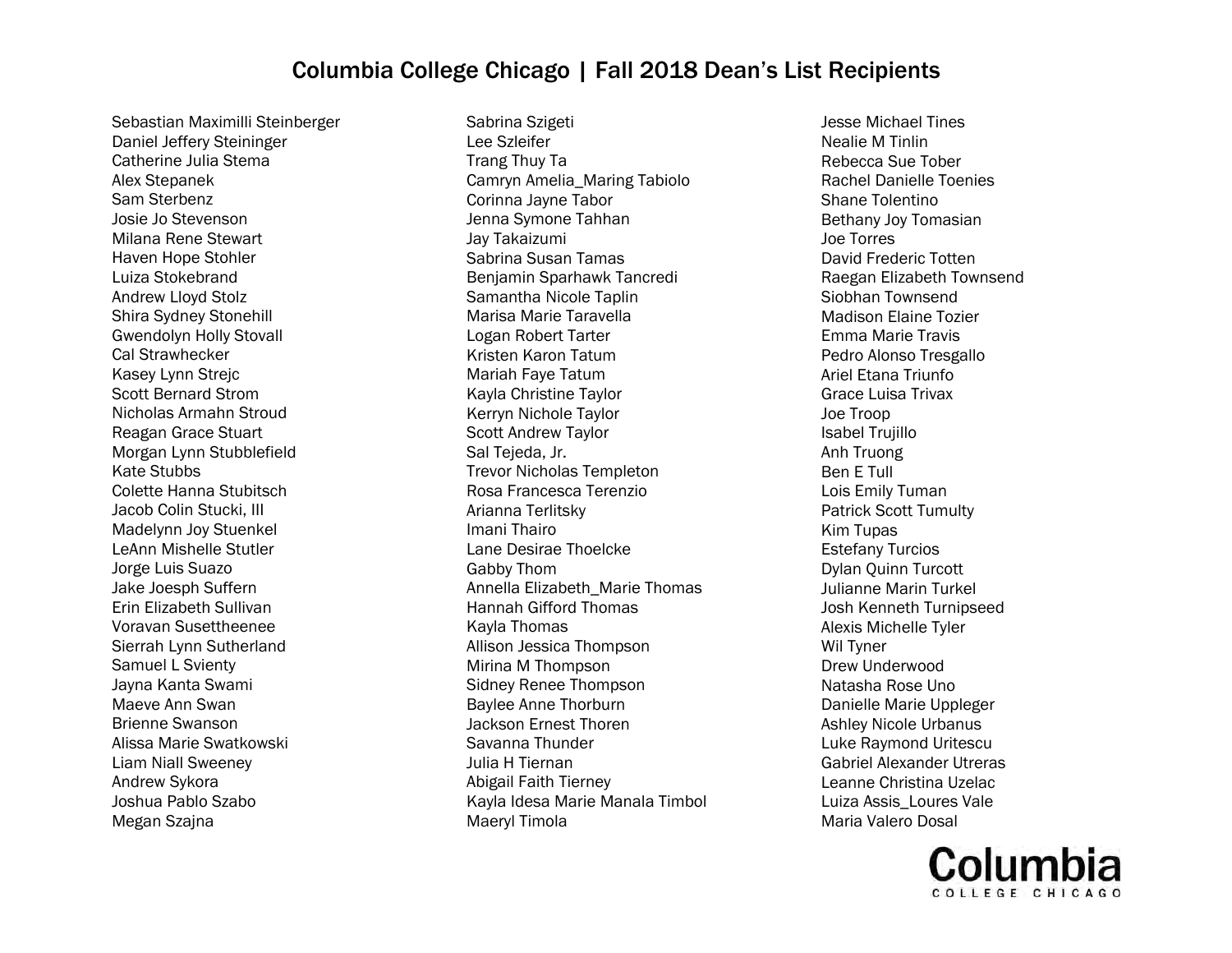Sebastian Maximilli Steinberger Daniel Jeffery Steininger Catherine Julia Stema Alex Stepanek Sam Sterbenz Josie Jo Stevenson Milana Rene Stewart Haven Hope Stohler Luiza Stokebrand Andrew Lloyd Stolz Shira Sydney Stonehill Gwendolyn Holly Stovall Cal Strawhecker Kasey Lynn Strejc Scott Bernard Strom Nicholas Armahn Stroud Reagan Grace Stuart Morgan Lynn Stubblefield Kate Stubbs Colette Hanna Stubitsch Jacob Colin Stucki, III Madelynn Joy Stuenkel LeAnn Mishelle Stutler Jorge Luis Suazo Jake Joesph Suffern Erin Elizabeth Sullivan Voravan Susettheenee Sierrah Lynn Sutherland Samuel L Svienty Jayna Kanta Swami Maeve Ann Swan Brienne Swanson Alissa Marie Swatkowski Liam Niall Sweeney Andrew Sykora Joshua Pablo Szabo Megan Szajna

Sabrina Szigeti Lee Szleifer Trang Thuy Ta Camryn Amelia\_Maring Tabiolo Corinna Jayne Tabor Jenna Symone Tahhan Jay Takaizumi Sabrina Susan Tamas Benjamin Sparhawk Tancredi Samantha Nicole Taplin Marisa Marie Taravella Logan Robert Tarter Kristen Karon Tatum Mariah Faye Tatum Kayla Christine Taylor Kerryn Nichole Taylor Scott Andrew Taylor Sal Tejeda, Jr. Trevor Nicholas Templeton Rosa Francesca Terenzio Arianna Terlitsky Imani Thairo Lane Desirae Thoelcke Gabby Thom Annella Elizabeth\_Marie Thomas Hannah Gifford Thomas Kayla Thomas Allison Jessica Thompson Mirina M Thompson Sidney Renee Thompson Baylee Anne Thorburn Jackson Ernest Thoren Savanna Thunder Julia H Tiernan Abigail Faith Tierney Kayla Idesa Marie Manala Timbol Maeryl Timola

Jesse Michael Tines Nealie M Tinlin Rebecca Sue Tober Rachel Danielle Toenies Shane Tolentino Bethany Joy Tomasian Joe Torres David Frederic Totten Raegan Elizabeth Townsend Siobhan Townsend Madison Elaine Tozier Emma Marie Travis Pedro Alonso Tresgallo Ariel Etana Triunfo Grace Luisa Trivax Joe Troop Isabel Trujillo Anh Truong Ben E Tull Lois Emily Tuman Patrick Scott Tumulty Kim Tupas Estefany Turcios Dylan Quinn Turcott Julianne Marin Turkel Josh Kenneth Turnipseed Alexis Michelle Tyler Wil Tyner Drew Underwood Natasha Rose Uno Danielle Marie Uppleger Ashley Nicole Urbanus Luke Raymond Uritescu Gabriel Alexander Utreras Leanne Christina Uzelac Luiza Assis\_Loures Vale Maria Valero Dosal

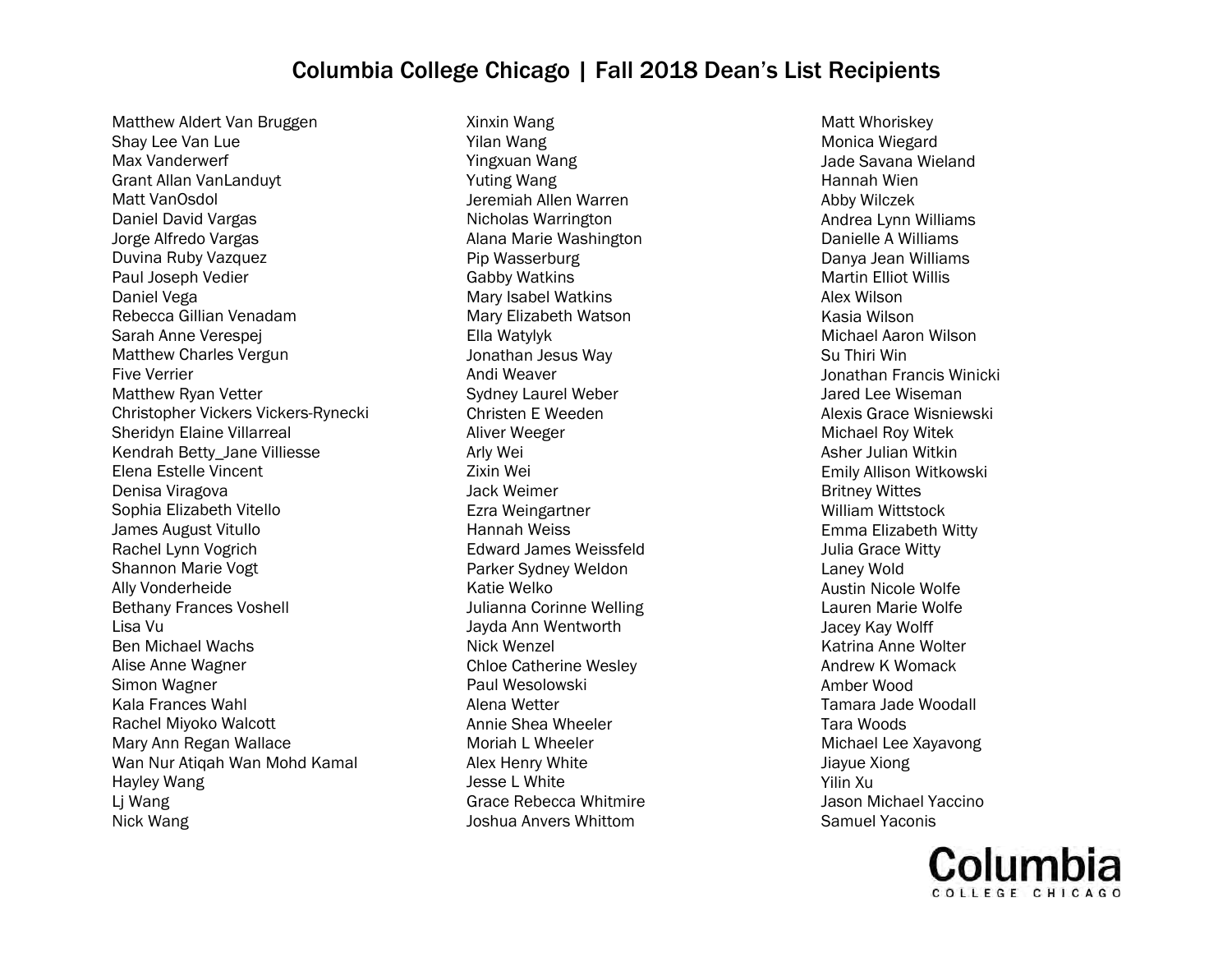Matthew Aldert Van Bruggen Shay Lee Van Lue Max Vanderwerf Grant Allan VanLanduyt Matt VanOsdol Daniel David Vargas Jorge Alfredo Vargas Duvina Ruby Vazquez Paul Joseph Vedier Daniel Vega Rebecca Gillian Venadam Sarah Anne Verespej Matthew Charles Vergun Five Verrier Matthew Ryan Vetter Christopher Vickers Vickers-Rynecki Sheridyn Elaine Villarreal Kendrah Betty\_Jane Villiesse Elena Estelle Vincent Denisa Viragova Sophia Elizabeth Vitello James August Vitullo Rachel Lynn Vogrich Shannon Marie Vogt Ally Vonderheide Bethany Frances Voshell Lisa Vu Ben Michael Wachs Alise Anne Wagner Simon Wagner Kala Frances Wahl Rachel Miyoko Walcott Mary Ann Regan Wallace Wan Nur Atiqah Wan Mohd Kamal Hayley Wang Lj Wang Nick Wang

Xinxin Wang Yilan Wang Yingxuan Wang Yuting Wang Jeremiah Allen Warren Nicholas Warrington Alana Marie Washington Pip Wasserburg Gabby Watkins Mary Isabel Watkins Mary Elizabeth Watson Ella Watylyk Jonathan Jesus Way Andi Weaver Sydney Laurel Weber Christen E Weeden Aliver Weeger Arly Wei Zixin Wei Jack Weimer Ezra Weingartner Hannah Weiss Edward James Weissfeld Parker Sydney Weldon Katie Welko Julianna Corinne Welling Jayda Ann Wentworth Nick Wenzel Chloe Catherine Wesley Paul Wesolowski Alena Wetter Annie Shea Wheeler Moriah L Wheeler Alex Henry White Jesse L White Grace Rebecca Whitmire Joshua Anvers Whittom

Matt Whoriskey Monica Wiegard Jade Savana Wieland Hannah Wien Abby Wilczek Andrea Lynn Williams Danielle A Williams Danya Jean Williams Martin Elliot Willis Alex Wilson Kasia Wilson Michael Aaron Wilson Su Thiri Win Jonathan Francis Winicki Jared Lee Wiseman Alexis Grace Wisniewski Michael Roy Witek Asher Julian Witkin Emily Allison Witkowski Britney Wittes William Wittstock Emma Elizabeth Witty Julia Grace Witty Laney Wold Austin Nicole Wolfe Lauren Marie Wolfe Jacey Kay Wolff Katrina Anne Wolter Andrew K Womack Amber Wood Tamara Jade Woodall Tara Woods Michael Lee Xayavong Jiayue Xiong Yilin Xu Jason Michael Yaccino Samuel Yaconis